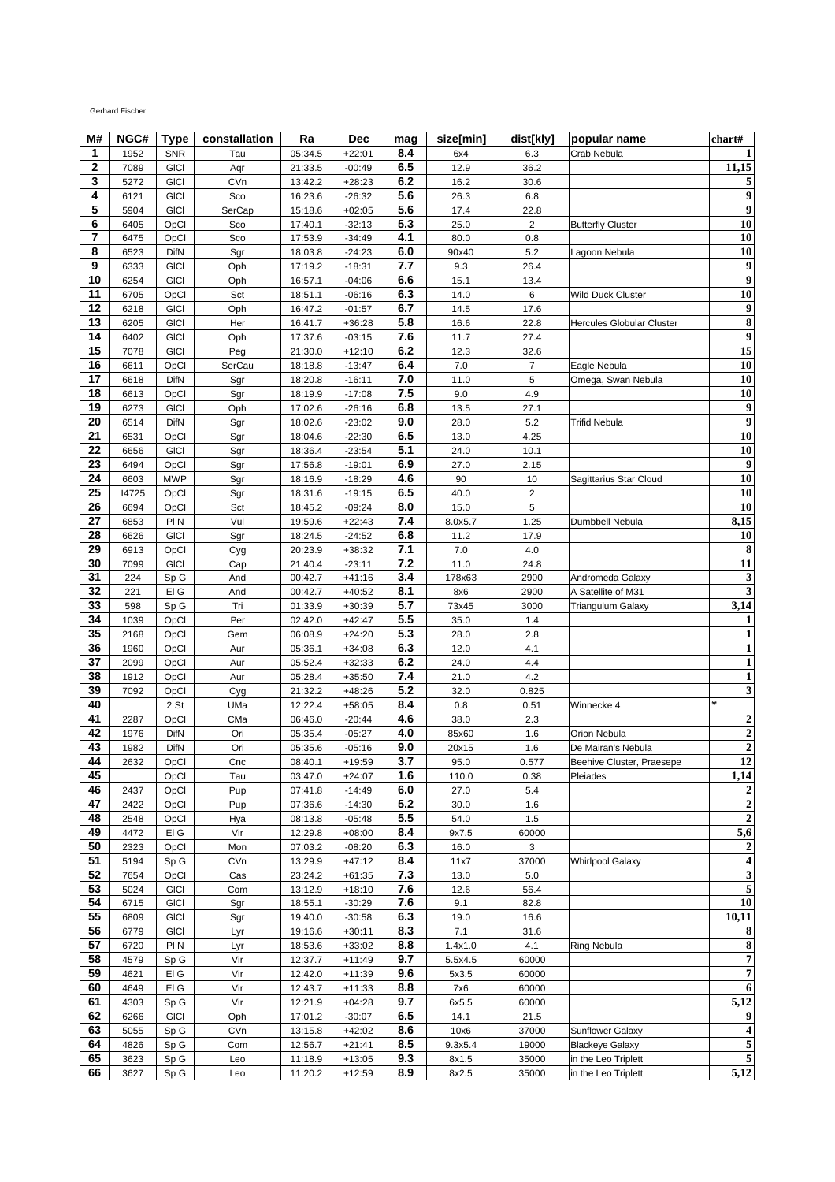## Gerhard Fischer

| M#          | NGC#  | <b>Type</b>     | constallation | Ra      | Dec      | mag | size[min] | dist[kly]      | popular name                     | chart#                  |
|-------------|-------|-----------------|---------------|---------|----------|-----|-----------|----------------|----------------------------------|-------------------------|
| 1           | 1952  | <b>SNR</b>      | Tau           | 05:34.5 | $+22:01$ | 8.4 | 6x4       | 6.3            | Crab Nebula                      | 1                       |
| $\mathbf 2$ | 7089  | <b>GICI</b>     | Aqr           | 21:33.5 | $-00:49$ | 6.5 | 12.9      | 36.2           |                                  | $\overline{11,15}$      |
| 3           | 5272  | <b>GICI</b>     | CVn           | 13:42.2 | $+28:23$ | 6.2 | 16.2      | 30.6           |                                  | 5                       |
| 4           | 6121  | <b>GICI</b>     | Sco           | 16:23.6 | $-26:32$ | 5.6 | 26.3      | 6.8            |                                  | 9                       |
| 5           | 5904  | <b>GICI</b>     | SerCap        | 15:18.6 | $+02:05$ | 5.6 | 17.4      | 22.8           |                                  | 9                       |
| 6           | 6405  | OpCl            | Sco           | 17:40.1 | $-32:13$ | 5.3 | 25.0      | $\overline{c}$ | <b>Butterfly Cluster</b>         | 10                      |
| 7           | 6475  | OpCl            | Sco           | 17:53.9 | $-34:49$ | 4.1 | 80.0      | 0.8            |                                  | 10                      |
| 8           | 6523  | DifN            | Sgr           | 18:03.8 | $-24:23$ | 6.0 | 90x40     | 5.2            | Lagoon Nebula                    | 10                      |
| 9           | 6333  | <b>GICI</b>     | Oph           | 17:19.2 | $-18:31$ | 7.7 | 9.3       | 26.4           |                                  | $\overline{9}$          |
| 10          | 6254  | <b>GICI</b>     | Oph           | 16:57.1 | $-04:06$ | 6.6 | 15.1      | 13.4           |                                  | 9                       |
| 11          | 6705  | OpCl            | Sct           | 18:51.1 | $-06:16$ | 6.3 | 14.0      | 6              | Wild Duck Cluster                | $\overline{10}$         |
| 12          | 6218  | <b>GICI</b>     | Oph           | 16:47.2 | $-01:57$ | 6.7 | 14.5      | 17.6           |                                  | 9                       |
| 13          | 6205  | <b>GICI</b>     | Her           | 16:41.7 | $+36:28$ | 5.8 | 16.6      | 22.8           | <b>Hercules Globular Cluster</b> | $\overline{\bf 8}$      |
| 14          | 6402  | <b>GICI</b>     | Oph           | 17:37.6 | $-03:15$ | 7.6 | 11.7      | 27.4           |                                  | 9                       |
| 15          | 7078  | <b>GICI</b>     | Peg           | 21:30.0 | $+12:10$ | 6.2 | 12.3      | 32.6           |                                  | $\overline{15}$         |
| 16          | 6611  | OpCl            | SerCau        | 18:18.8 | $-13:47$ | 6.4 | 7.0       | $\overline{7}$ | Eagle Nebula                     | 10                      |
| 17          | 6618  | <b>DifN</b>     | Sgr           | 18:20.8 | $-16:11$ | 7.0 | 11.0      | 5              | Omega, Swan Nebula               | 10                      |
| 18          | 6613  | OpCl            | Sgr           | 18:19.9 | $-17:08$ | 7.5 | 9.0       | 4.9            |                                  | $\overline{10}$         |
| 19          | 6273  | <b>GICI</b>     | Oph           | 17:02.6 | $-26:16$ | 6.8 | 13.5      | 27.1           |                                  | 9                       |
| 20          | 6514  | DifN            | Sgr           | 18:02.6 | $-23:02$ | 9.0 | 28.0      | 5.2            | Trifid Nebula                    | $\overline{9}$          |
| 21          |       |                 |               | 18:04.6 | $-22:30$ | 6.5 | 13.0      | 4.25           |                                  | 10                      |
| 22          | 6531  | OpCl            | Sgr           |         | $-23:54$ | 5.1 |           |                |                                  |                         |
|             | 6656  | <b>GICI</b>     | Sgr           | 18:36.4 |          |     | 24.0      | 10.1           |                                  | $\overline{10}$         |
| 23<br>24    | 6494  | OpCl            | Sgr           | 17:56.8 | $-19:01$ | 6.9 | 27.0      | 2.15           |                                  | 9                       |
|             | 6603  | <b>MWP</b>      | Sgr           | 18:16.9 | $-18:29$ | 4.6 | 90        | 10             | Sagittarius Star Cloud           | 10                      |
| 25          | 14725 | OpCl            | Sgr           | 18:31.6 | $-19:15$ | 6.5 | 40.0      | 2              |                                  | 10                      |
| 26<br>27    | 6694  | OpCl            | Sct           | 18:45.2 | $-09:24$ | 8.0 | 15.0      | 5              |                                  | 10                      |
|             | 6853  | PI N            | Vul           | 19:59.6 | $+22:43$ | 7.4 | 8.0x5.7   | 1.25           | Dumbbell Nebula                  | 8,15                    |
| 28          | 6626  | <b>GICI</b>     | Sgr           | 18:24.5 | $-24:52$ | 6.8 | 11.2      | 17.9           |                                  | <b>10</b>               |
| 29          | 6913  | OpCl            | Cyg           | 20:23.9 | $+38:32$ | 7.1 | 7.0       | 4.0            |                                  | 8                       |
| 30          | 7099  | <b>GICI</b>     | Cap           | 21:40.4 | $-23:11$ | 7.2 | 11.0      | 24.8           |                                  | 11                      |
| 31          | 224   | Sp G            | And           | 00:42.7 | $+41:16$ | 3.4 | 178x63    | 2900           | Andromeda Galaxy                 | 3                       |
| 32          | 221   | EI G            | And           | 00:42.7 | $+40:52$ | 8.1 | 8x6       | 2900           | A Satellite of M31               | 3                       |
| 33          | 598   | Sp G            | Tri           | 01:33.9 | $+30:39$ | 5.7 | 73x45     | 3000           | <b>Triangulum Galaxy</b>         | 3,14                    |
| 34          | 1039  | OpCl            | Per           | 02:42.0 | $+42:47$ | 5.5 | 35.0      | 1.4            |                                  | 1                       |
| 35          | 2168  | OpCl            | Gem           | 06:08.9 | $+24:20$ | 5.3 | 28.0      | 2.8            |                                  | 1                       |
| 36          | 1960  | OpCl            | Aur           | 05:36.1 | $+34:08$ | 6.3 | 12.0      | 4.1            |                                  | $\mathbf{1}$            |
| 37          | 2099  | OpCl            | Aur           | 05:52.4 | $+32:33$ | 6.2 | 24.0      | 4.4            |                                  | $\mathbf{1}$            |
| 38          | 1912  | OpCl            | Aur           | 05:28.4 | $+35:50$ | 7.4 | 21.0      | 4.2            |                                  | 1                       |
| 39          | 7092  | OpCl            | Cyg           | 21:32.2 | $+48:26$ | 5.2 | 32.0      | 0.825          |                                  | 3                       |
| 40          |       | 2 St            | UMa           | 12:22.4 | $+58:05$ | 8.4 | 0.8       | 0.51           | Winnecke 4                       | $\ast$                  |
| 41          | 2287  | OpCl            | CMa           | 06:46.0 | $-20:44$ | 4.6 | 38.0      | 2.3            |                                  | $\boldsymbol{2}$        |
| 42          | 1976  | DifN            | Ori           | 05:35.4 | $-05:27$ | 4.0 | 85x60     | 1.6            | Orion Nebula                     | $\overline{2}$          |
| 43          | 1982  | DifN            | Ori           | 05:35.6 | $-05:16$ | 9.0 | 20x15     | 1.6            | De Mairan's Nebula               | $\overline{2}$          |
| 44          | 2632  | OpCl            | Cnc           | 08:40.1 | $+19:59$ | 3.7 | 95.0      | 0.577          | Beehive Cluster, Praesepe        | 12                      |
| 45          |       | OpCl            | Tau           | 03:47.0 | $+24:07$ | 1.6 | 110.0     | 0.38           | Pleiades                         | 1,14                    |
| 46          | 2437  | OpCl            | Pup           | 07:41.8 | $-14:49$ | 6.0 | 27.0      | 5.4            |                                  | 2                       |
| 47          | 2422  | OpCl            | Pup           | 07:36.6 | $-14:30$ | 5.2 | 30.0      | 1.6            |                                  | $\mathbf 2$             |
| 48          | 2548  | OpCl            | Hya           | 08:13.8 | $-05:48$ | 5.5 | 54.0      | 1.5            |                                  | $\mathbf 2$             |
| 49          | 4472  | EI G            | Vir           | 12:29.8 | $+08:00$ | 8.4 | 9x7.5     | 60000          |                                  | $\overline{5,6}$        |
| 50          | 2323  | OpCl            | Mon           | 07:03.2 | $-08:20$ | 6.3 | 16.0      | 3              |                                  | $\boldsymbol{2}$        |
| 51          | 5194  | Sp G            | CVn           | 13:29.9 | $+47:12$ | 8.4 | 11x7      | 37000          | <b>Whirlpool Galaxy</b>          | 4                       |
| 52          | 7654  | OpCl            | Cas           | 23:24.2 | $+61:35$ | 7.3 | 13.0      | 5.0            |                                  | $\overline{\mathbf{3}}$ |
| 53          | 5024  | <b>GICI</b>     | Com           | 13:12.9 | $+18:10$ | 7.6 | 12.6      | 56.4           |                                  | $\mathbf 5$             |
| 54          | 6715  | <b>GICI</b>     | Sgr           | 18:55.1 | $-30:29$ | 7.6 | 9.1       | 82.8           |                                  | 10                      |
| 55          | 6809  | <b>GICI</b>     | Sgr           | 19:40.0 | $-30:58$ | 6.3 | 19.0      | 16.6           |                                  | 10,11                   |
| 56          | 6779  | <b>GICI</b>     | Lyr           | 19:16.6 | $+30:11$ | 8.3 | 7.1       | 31.6           |                                  | 8                       |
| 57          | 6720  | PI N            | Lyr           | 18:53.6 | $+33:02$ | 8.8 | 1.4x1.0   | 4.1            | <b>Ring Nebula</b>               | 8                       |
| 58          | 4579  | Sp <sub>G</sub> | Vir           | 12:37.7 | $+11:49$ | 9.7 | 5.5x4.5   | 60000          |                                  | $\overline{7}$          |
| 59          | 4621  | EI G            | Vir           | 12:42.0 | $+11:39$ | 9.6 | 5x3.5     | 60000          |                                  | $\overline{7}$          |
| 60          | 4649  | EI G            | Vir           | 12:43.7 | $+11:33$ | 8.8 | 7x6       | 60000          |                                  | 6                       |
| 61          | 4303  | Sp <sub>G</sub> | Vir           | 12:21.9 | $+04:28$ | 9.7 | 6x5.5     | 60000          |                                  | 5,12                    |
| 62          | 6266  | <b>GICI</b>     | Oph           | 17:01.2 | $-30:07$ | 6.5 | 14.1      | 21.5           |                                  | 9                       |
| 63          | 5055  | Sp G            | CVn           | 13:15.8 | $+42:02$ | 8.6 | 10x6      | 37000          | <b>Sunflower Galaxy</b>          | 4                       |
| 64          | 4826  | Sp <sub>G</sub> | Com           | 12:56.7 | $+21:41$ | 8.5 | 9.3x5.4   | 19000          | <b>Blackeye Galaxy</b>           | 5                       |
| 65          | 3623  | Sp <sub>G</sub> | Leo           | 11:18.9 | $+13:05$ | 9.3 | 8x1.5     | 35000          | in the Leo Triplett              | 5                       |
| 66          | 3627  | Sp <sub>G</sub> | Leo           | 11:20.2 | $+12:59$ | 8.9 | 8x2.5     | 35000          | in the Leo Triplett              | 5,12                    |
|             |       |                 |               |         |          |     |           |                |                                  |                         |